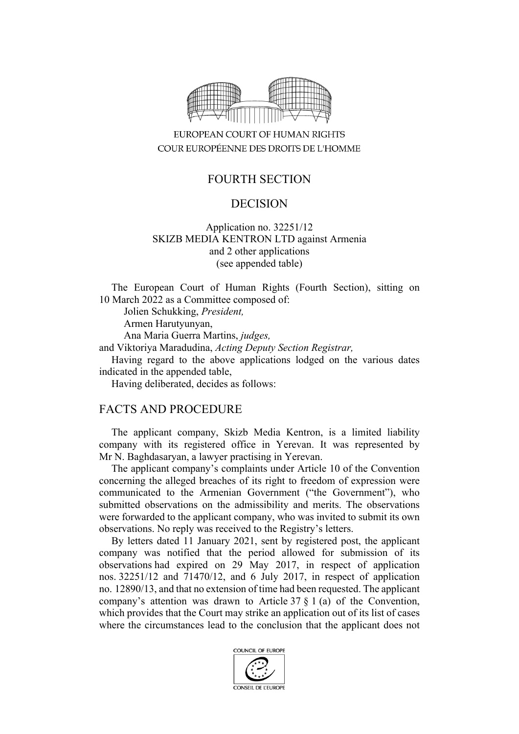

## EUROPEAN COURT OF HUMAN RIGHTS COUR EUROPÉENNE DES DROITS DE L'HOMME

### FOURTH SECTION

### DECISION

#### Application no. 32251/12 SKIZB MEDIA KENTRON LTD against Armenia and 2 other applications (see appended table)

The European Court of Human Rights (Fourth Section), sitting on 10 March 2022 as a Committee composed of:

Jolien Schukking, *President,*

Armen Harutyunyan,

Ana Maria Guerra Martins, *judges,*

and Viktoriya Maradudina, *Acting Deputy Section Registrar,*

Having regard to the above applications lodged on the various dates indicated in the appended table,

Having deliberated, decides as follows:

### FACTS AND PROCEDURE

The applicant company, Skizb Media Kentron, is a limited liability company with its registered office in Yerevan. It was represented by Mr N. Baghdasaryan, a lawyer practising in Yerevan.

The applicant company's complaints under Article 10 of the Convention concerning the alleged breaches of its right to freedom of expression were communicated to the Armenian Government ("the Government"), who submitted observations on the admissibility and merits. The observations were forwarded to the applicant company, who was invited to submit its own observations. No reply was received to the Registry's letters.

By letters dated 11 January 2021, sent by registered post, the applicant company was notified that the period allowed for submission of its observations had expired on 29 May 2017, in respect of application nos. 32251/12 and 71470/12, and 6 July 2017, in respect of application no. 12890/13, and that no extension of time had been requested. The applicant company's attention was drawn to Article 37 § 1 (a) of the Convention, which provides that the Court may strike an application out of its list of cases where the circumstances lead to the conclusion that the applicant does not

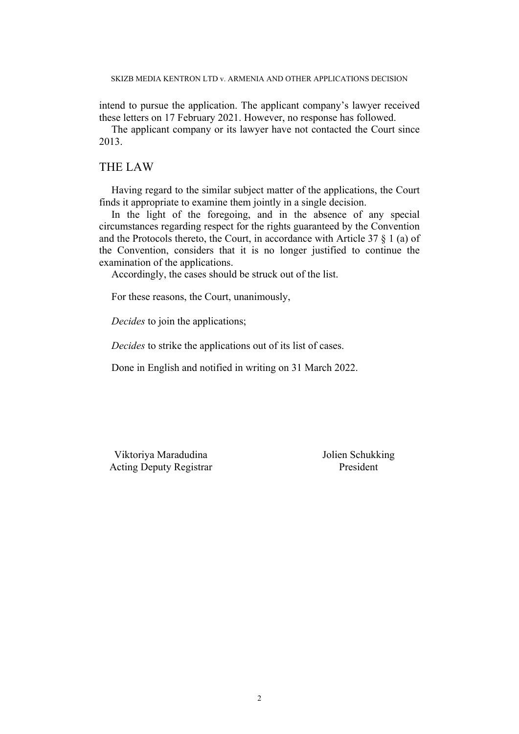intend to pursue the application. The applicant company's lawyer received these letters on 17 February 2021. However, no response has followed.

The applicant company or its lawyer have not contacted the Court since 2013.

#### THE LAW

Having regard to the similar subject matter of the applications, the Court finds it appropriate to examine them jointly in a single decision.

In the light of the foregoing, and in the absence of any special circumstances regarding respect for the rights guaranteed by the Convention and the Protocols thereto, the Court, in accordance with Article 37 § 1 (a) of the Convention, considers that it is no longer justified to continue the examination of the applications.

Accordingly, the cases should be struck out of the list.

For these reasons, the Court, unanimously,

*Decides* to join the applications;

*Decides* to strike the applications out of its list of cases.

Done in English and notified in writing on 31 March 2022.

Viktoriya Maradudina  $J$ olien Schukking Acting Deputy Registrar President